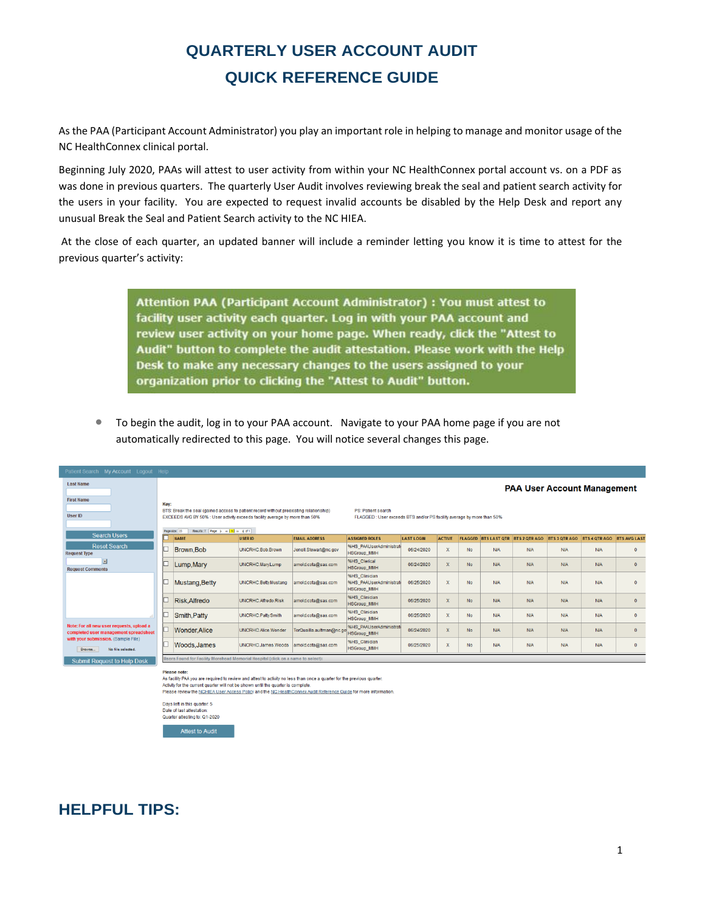# **QUARTERLY USER ACCOUNT AUDIT QUICK REFERENCE GUIDE**

As the PAA (Participant Account Administrator) you play an important role in helping to manage and monitor usage of the NC HealthConnex clinical portal.

Beginning July 2020, PAAs will attest to user activity from within your NC HealthConnex portal account vs. on a PDF as was done in previous quarters. The quarterly User Audit involves reviewing break the seal and patient search activity for the users in your facility. You are expected to request invalid accounts be disabled by the Help Desk and report any unusual Break the Seal and Patient Search activity to the NC HIEA.

At the close of each quarter, an updated banner will include a reminder letting you know it is time to attest for the previous quarter's activity:

> Attention PAA (Participant Account Administrator) : You must attest to facility user activity each quarter. Log in with your PAA account and review user activity on your home page. When ready, click the "Attest to Audit" button to complete the audit attestation. Please work with the Help Desk to make any necessary changes to the users assigned to your organization prior to clicking the "Attest to Audit" button.

• To begin the audit, log in to your PAA account. Navigate to your PAA home page if you are not automatically redirected to this page. You will notice several changes this page.

| Patient Search My Account Logout Help                                              |                                                                                                                                                                                                                                                                                                                                             |                      |                      |                          |                                                                       |                   |                         |           |            |                                          |               |                      |                     |
|------------------------------------------------------------------------------------|---------------------------------------------------------------------------------------------------------------------------------------------------------------------------------------------------------------------------------------------------------------------------------------------------------------------------------------------|----------------------|----------------------|--------------------------|-----------------------------------------------------------------------|-------------------|-------------------------|-----------|------------|------------------------------------------|---------------|----------------------|---------------------|
| <b>Last Name</b>                                                                   |                                                                                                                                                                                                                                                                                                                                             |                      |                      |                          |                                                                       |                   |                         |           |            | <b>PAA User Account Management</b>       |               |                      |                     |
| <b>First Name</b><br><b>User ID</b>                                                | Key:<br>BTS: Break the seal (gained access to patient record without preexisting relationship)<br>PS: Patient search<br>EXCEEDS AVG BY 50% : User activity exceeds facility average by more than 50%<br>FLAGGED : User exceeds BTS and/or PS facility average by more than 50%<br>Results: 7 Page: [c] or [1] in [i] of 1]<br>Page size: 25 |                      |                      |                          |                                                                       |                   |                         |           |            |                                          |               |                      |                     |
| <b>Search Users</b>                                                                |                                                                                                                                                                                                                                                                                                                                             | <b>NAME</b>          | <b>USER ID</b>       | <b>EMAIL ADDRESS</b>     | <b>ASSIGNED ROLES</b>                                                 | <b>LAST LOGIN</b> | <b>ACTIVE</b>           |           |            | <b>FLAGGED BTS LAST OTR BTS 2 OTRAGO</b> | BTS 3 OTR AGO | <b>BTS 4 OTR AGO</b> | <b>BTS AVG LAST</b> |
| <b>Reset Search</b><br><b>Request Type</b>                                         |                                                                                                                                                                                                                                                                                                                                             | Brown, Bob           | UNCRHC.Bob.Brown     | Jenell.Stewart@nc.gov    | 96HS PAAUserAdministrat<br><b>HSGroup_MMH</b>                         | 06/24/2020        | $\mathbf{x}$            | <b>No</b> | N/A        | N/A                                      | N/A           | <b>N/A</b>           | $\mathbf{0}$        |
| ⊡<br><b>Request Comments</b>                                                       |                                                                                                                                                                                                                                                                                                                                             | Lump, Mary           | UNCRHC.Marv.Lump     | amold.cota@sas.com       | %HS_Clerical<br><b>HSGroup MMH</b>                                    | 06/24/2020        | $\mathbf{x}$            | <b>No</b> | N/A        | N/A                                      | <b>N/A</b>    | <b>N/A</b>           | $\mathbf{0}$        |
|                                                                                    |                                                                                                                                                                                                                                                                                                                                             | Mustang, Betty       | UNCRHC.Betty.Mustang | arnold.cota@sas.com      | <b>%HS Clinician</b><br>%HS_PAAUserAdministrati<br><b>HSGroup_MMH</b> | 06/25/2020        | $\mathbf{x}$            | <b>No</b> | N/A        | N/A                                      | <b>N/A</b>    | <b>N/A</b>           | $\mathbf{0}$        |
|                                                                                    |                                                                                                                                                                                                                                                                                                                                             | Risk, Alfredo        | UNCRHC.Alfredo.Risk  | amold.cota@sas.com       | <b>%HS Clinician</b><br><b>HSGroup_MMH</b>                            | 06/25/2020        | $\overline{\mathbf{x}}$ | <b>No</b> | N/A        | N/A                                      | <b>N/A</b>    | <b>NIA</b>           | $\mathbf{0}$        |
|                                                                                    |                                                                                                                                                                                                                                                                                                                                             | Smith, Patty         | UNCRHC.Patty.Smith   | amold.cota@sas.com       | %HS Clinician<br><b>HSGroup MMH</b>                                   | 06/25/2020        | $\mathbf{x}$            | <b>No</b> | <b>N/A</b> | <b>N/A</b>                               | <b>N/A</b>    | <b>NIA</b>           | $\mathbf{0}$        |
| Note: For all new user requests, upload a<br>completed user management spreadsheet |                                                                                                                                                                                                                                                                                                                                             | <b>Wonder, Alice</b> | UNCRHC.Alice.Wonder  | TorQuailla.aultman@nc.oo | 96HS PAAUserAdministrat<br><b>HSGroup MMH</b>                         | 06/24/2020        | $\overline{\mathbf{x}}$ | <b>No</b> | N/A        | N/A                                      | N/A           | <b>NIA</b>           | $\mathbf{0}$        |
| with your submission. (Sample File)<br>No file selected.<br>Browse.                |                                                                                                                                                                                                                                                                                                                                             | Woods, James         | UNCRHC.James.Woods   | arnold.cota@sas.com      | %HS Clinician<br><b>HSGroup_MMH</b>                                   | 06/25/2020        | X                       | No        | N/A        | N/A                                      | <b>N/A</b>    | <b>N/A</b>           | $\mathbf 0$         |
| <b>Submit Request to Help Desk</b>                                                 | Users Found for Facility Morehead Memorial Hospital (click on a name to select):                                                                                                                                                                                                                                                            |                      |                      |                          |                                                                       |                   |                         |           |            |                                          |               |                      |                     |

Please note:<br>As facility PAA you are required to review and attest to activity no less than once a quarter for the previous quarter. Activity for the current quarter will not be shown until the quarter is complet Please review the NCHIEA User Access Policy and the NC HealthConnex Audit Reference Guide for more information.

Days left in this quarter: 5

Date of last attestation:<br>Quarter attesting to: Q1-2020

**Attest to Audit** 

## **HELPFUL TIPS:**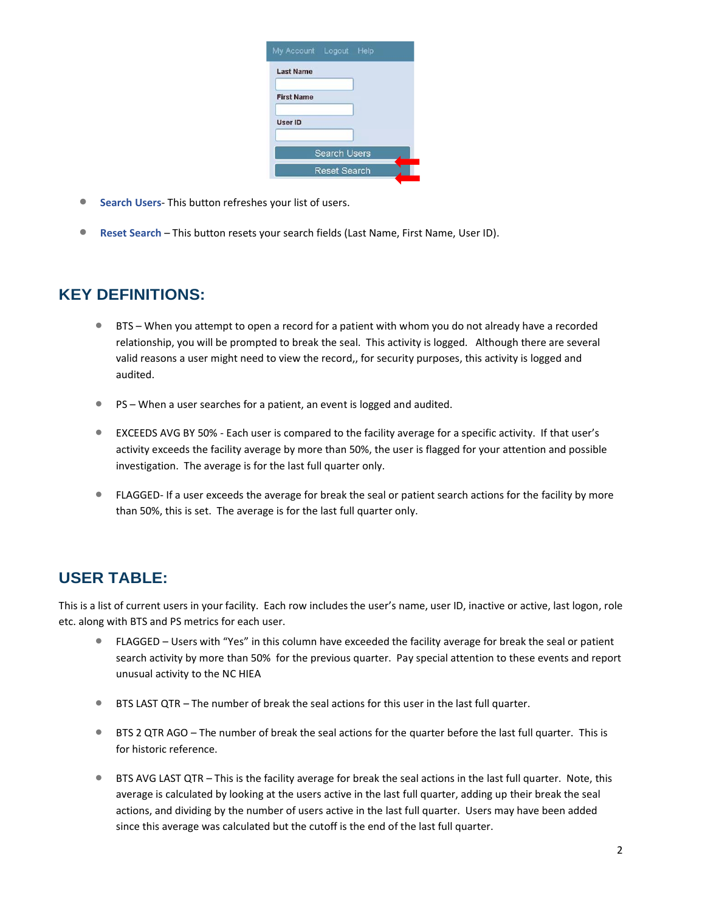|                   | My Account Logout Help |  |
|-------------------|------------------------|--|
| <b>Last Name</b>  |                        |  |
| <b>First Name</b> |                        |  |
| <b>User ID</b>    |                        |  |
|                   | <b>Search Users</b>    |  |
|                   | <b>Reset Search</b>    |  |

- **Search Users** This button refreshes your list of users.
- **Reset Search** This button resets your search fields (Last Name, First Name, User ID).

#### **KEY DEFINITIONS:**

- BTS When you attempt to open a record for a patient with whom you do not already have a recorded relationship, you will be prompted to break the seal. This activity is logged. Although there are several valid reasons a user might need to view the record,, for security purposes, this activity is logged and audited.
- PS When a user searches for a patient, an event is logged and audited.
- EXCEEDS AVG BY 50% Each user is compared to the facility average for a specific activity. If that user's activity exceeds the facility average by more than 50%, the user is flagged for your attention and possible investigation. The average is for the last full quarter only.
- FLAGGED- If a user exceeds the average for break the seal or patient search actions for the facility by more than 50%, this is set. The average is for the last full quarter only.

### **USER TABLE:**

This is a list of current users in your facility. Each row includes the user's name, user ID, inactive or active, last logon, role etc. along with BTS and PS metrics for each user.

- FLAGGED Users with "Yes" in this column have exceeded the facility average for break the seal or patient search activity by more than 50% for the previous quarter. Pay special attention to these events and report unusual activity to the NC HIEA
- BTS LAST QTR The number of break the seal actions for this user in the last full quarter.
- BTS 2 QTR AGO The number of break the seal actions for the quarter before the last full quarter. This is for historic reference.
- BTS AVG LAST QTR This is the facility average for break the seal actions in the last full quarter. Note, this average is calculated by looking at the users active in the last full quarter, adding up their break the seal actions, and dividing by the number of users active in the last full quarter. Users may have been added since this average was calculated but the cutoff is the end of the last full quarter.